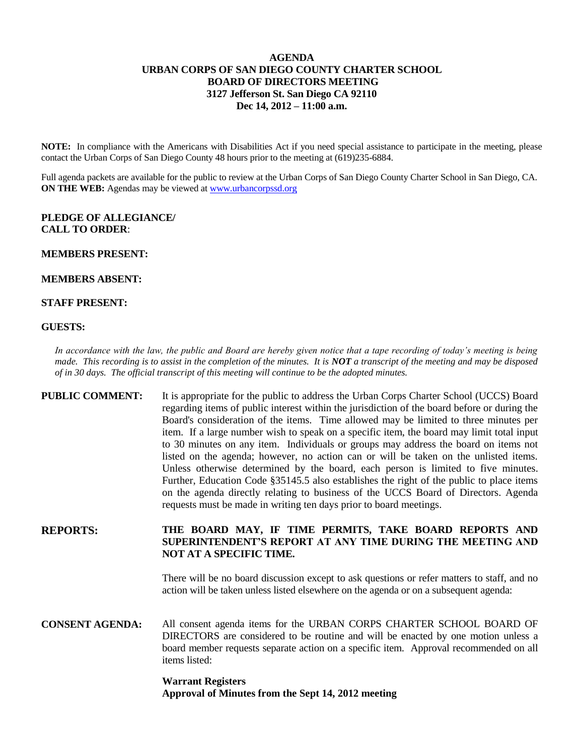## **AGENDA URBAN CORPS OF SAN DIEGO COUNTY CHARTER SCHOOL BOARD OF DIRECTORS MEETING 3127 Jefferson St. San Diego CA 92110 Dec 14, 2012 – 11:00 a.m.**

**NOTE:** In compliance with the Americans with Disabilities Act if you need special assistance to participate in the meeting, please contact the Urban Corps of San Diego County 48 hours prior to the meeting at (619)235-6884.

Full agenda packets are available for the public to review at the Urban Corps of San Diego County Charter School in San Diego, CA. **ON THE WEB:** Agendas may be viewed at [www.urbancorpssd.org](http://www.urbancorpssd.org/)

## **PLEDGE OF ALLEGIANCE/ CALL TO ORDER**:

#### **MEMBERS PRESENT:**

## **MEMBERS ABSENT:**

## **STAFF PRESENT:**

#### **GUESTS:**

*In accordance with the law, the public and Board are hereby given notice that a tape recording of today's meeting is being made. This recording is to assist in the completion of the minutes. It is NOT a transcript of the meeting and may be disposed of in 30 days. The official transcript of this meeting will continue to be the adopted minutes.*

**PUBLIC COMMENT:** It is appropriate for the public to address the Urban Corps Charter School (UCCS) Board regarding items of public interest within the jurisdiction of the board before or during the Board's consideration of the items. Time allowed may be limited to three minutes per item. If a large number wish to speak on a specific item, the board may limit total input to 30 minutes on any item. Individuals or groups may address the board on items not listed on the agenda; however, no action can or will be taken on the unlisted items. Unless otherwise determined by the board, each person is limited to five minutes. Further, Education Code §35145.5 also establishes the right of the public to place items on the agenda directly relating to business of the UCCS Board of Directors. Agenda requests must be made in writing ten days prior to board meetings.

# **REPORTS: THE BOARD MAY, IF TIME PERMITS, TAKE BOARD REPORTS AND SUPERINTENDENT'S REPORT AT ANY TIME DURING THE MEETING AND NOT AT A SPECIFIC TIME.**

There will be no board discussion except to ask questions or refer matters to staff, and no action will be taken unless listed elsewhere on the agenda or on a subsequent agenda:

**CONSENT AGENDA:** All consent agenda items for the URBAN CORPS CHARTER SCHOOL BOARD OF DIRECTORS are considered to be routine and will be enacted by one motion unless a board member requests separate action on a specific item. Approval recommended on all items listed:

# **Warrant Registers Approval of Minutes from the Sept 14, 2012 meeting**